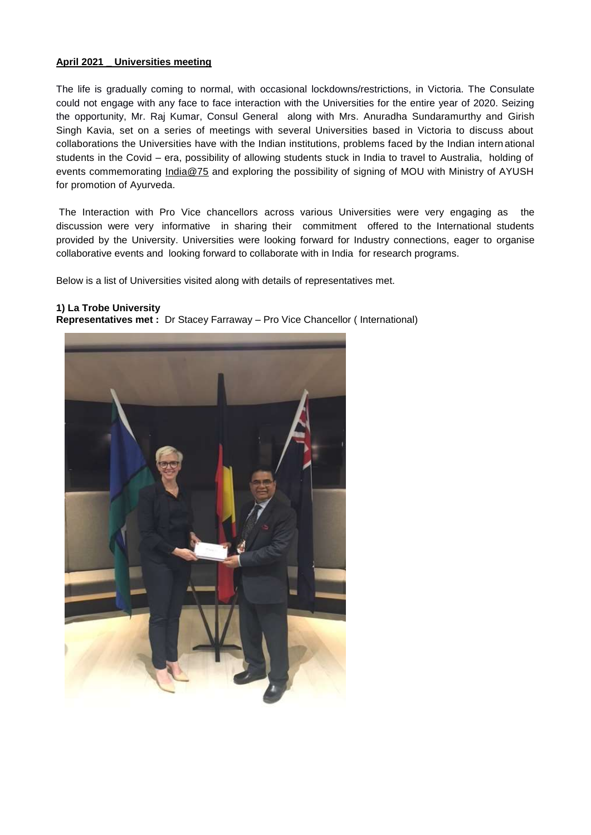### **April 2021 \_ Universities meeting**

The life is gradually coming to normal, with occasional lockdowns/restrictions, in Victoria. The Consulate could not engage with any face to face interaction with the Universities for the entire year of 2020. Seizing the opportunity, Mr. Raj Kumar, Consul General along with Mrs. Anuradha Sundaramurthy and Girish Singh Kavia, set on a series of meetings with several Universities based in Victoria to discuss about collaborations the Universities have with the Indian institutions, problems faced by the Indian international students in the Covid – era, possibility of allowing students stuck in India to travel to Australia, holding of events commemorating [India@75](mailto:India@75) and exploring the possibility of signing of MOU with Ministry of AYUSH for promotion of Ayurveda.

The Interaction with Pro Vice chancellors across various Universities were very engaging as the discussion were very informative in sharing their commitment offered to the International students provided by the University. Universities were looking forward for Industry connections, eager to organise collaborative events and looking forward to collaborate with in India for research programs.

Below is a list of Universities visited along with details of representatives met.

#### **1) La Trobe University**

**Representatives met :** Dr Stacey Farraway – Pro Vice Chancellor ( International)

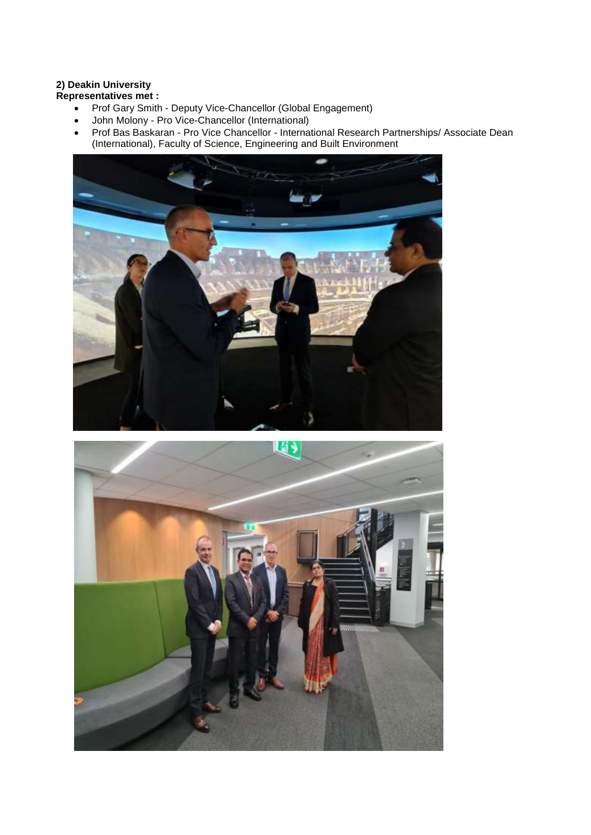# **2) Deakin University**

**Representatives met :** 

- Prof Gary Smith Deputy Vice-Chancellor (Global Engagement)
- John Molony Pro Vice-Chancellor (International)
- Prof Bas Baskaran Pro Vice Chancellor International Research Partnerships/ Associate Dean (International), Faculty of Science, Engineering and Built Environment



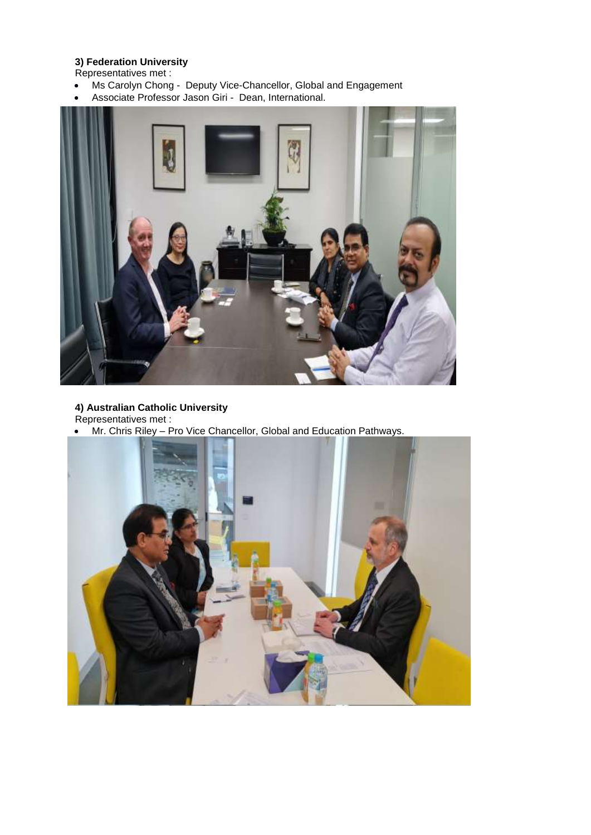# **3) Federation University**

Representatives met :

- Ms Carolyn Chong Deputy Vice-Chancellor, Global and Engagement
- Associate Professor Jason Giri Dean, International.



# **4) Australian Catholic University**

Representatives met :

Mr. Chris Riley – Pro Vice Chancellor, Global and Education Pathways.